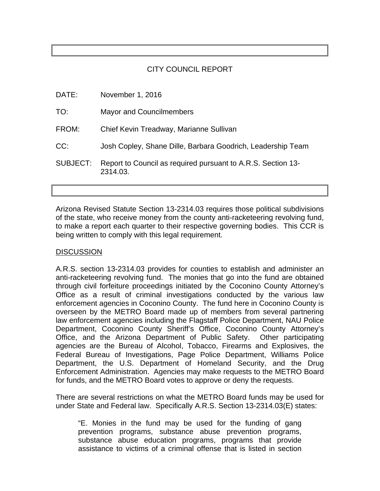# CITY COUNCIL REPORT

| DATE:    | November 1, 2016                                                         |
|----------|--------------------------------------------------------------------------|
| TO:      | <b>Mayor and Councilmembers</b>                                          |
| FROM:    | Chief Kevin Treadway, Marianne Sullivan                                  |
| CC:      | Josh Copley, Shane Dille, Barbara Goodrich, Leadership Team              |
| SUBJECT: | Report to Council as required pursuant to A.R.S. Section 13-<br>2314.03. |

Arizona Revised Statute Section 13-2314.03 requires those political subdivisions of the state, who receive money from the county anti-racketeering revolving fund, to make a report each quarter to their respective governing bodies. This CCR is being written to comply with this legal requirement.

# **DISCUSSION**

A.R.S. section 13-2314.03 provides for counties to establish and administer an anti-racketeering revolving fund. The monies that go into the fund are obtained through civil forfeiture proceedings initiated by the Coconino County Attorney's Office as a result of criminal investigations conducted by the various law enforcement agencies in Coconino County. The fund here in Coconino County is overseen by the METRO Board made up of members from several partnering law enforcement agencies including the Flagstaff Police Department, NAU Police Department, Coconino County Sheriff's Office, Coconino County Attorney's Office, and the Arizona Department of Public Safety. Other participating agencies are the Bureau of Alcohol, Tobacco, Firearms and Explosives, the Federal Bureau of Investigations, Page Police Department, Williams Police Department, the U.S. Department of Homeland Security, and the Drug Enforcement Administration. Agencies may make requests to the METRO Board for funds, and the METRO Board votes to approve or deny the requests.

There are several restrictions on what the METRO Board funds may be used for under State and Federal law. Specifically A.R.S. Section 13-2314.03(E) states:

 "E. Monies in the fund may be used for the funding of gang prevention programs, substance abuse prevention programs, substance abuse education programs, programs that provide assistance to victims of a criminal offense that is listed in section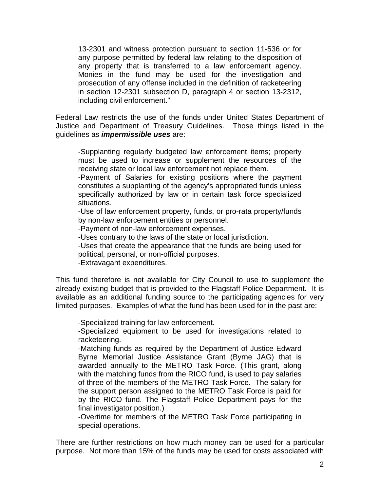13-2301 and witness protection pursuant to section 11-536 or for any purpose permitted by federal law relating to the disposition of any property that is transferred to a law enforcement agency. Monies in the fund may be used for the investigation and prosecution of any offense included in the definition of racketeering in section 12-2301 subsection D, paragraph 4 or section 13-2312, including civil enforcement."

Federal Law restricts the use of the funds under United States Department of Justice and Department of Treasury Guidelines. Those things listed in the guidelines as *impermissible uses* are:

-Supplanting regularly budgeted law enforcement items; property must be used to increase or supplement the resources of the receiving state or local law enforcement not replace them.

-Payment of Salaries for existing positions where the payment constitutes a supplanting of the agency's appropriated funds unless specifically authorized by law or in certain task force specialized situations.

-Use of law enforcement property, funds, or pro-rata property/funds by non-law enforcement entities or personnel.

-Payment of non-law enforcement expenses.

-Uses contrary to the laws of the state or local jurisdiction.

-Uses that create the appearance that the funds are being used for political, personal, or non-official purposes.

-Extravagant expenditures.

This fund therefore is not available for City Council to use to supplement the already existing budget that is provided to the Flagstaff Police Department. It is available as an additional funding source to the participating agencies for very limited purposes. Examples of what the fund has been used for in the past are:

-Specialized training for law enforcement.

 -Specialized equipment to be used for investigations related to racketeering.

-Matching funds as required by the Department of Justice Edward Byrne Memorial Justice Assistance Grant (Byrne JAG) that is awarded annually to the METRO Task Force. (This grant, along with the matching funds from the RICO fund, is used to pay salaries of three of the members of the METRO Task Force. The salary for the support person assigned to the METRO Task Force is paid for by the RICO fund. The Flagstaff Police Department pays for the final investigator position.)

-Overtime for members of the METRO Task Force participating in special operations.

There are further restrictions on how much money can be used for a particular purpose. Not more than 15% of the funds may be used for costs associated with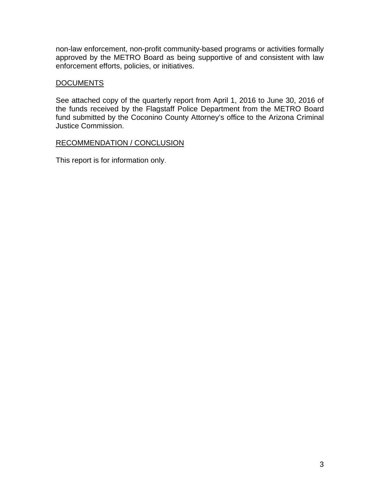non-law enforcement, non-profit community-based programs or activities formally approved by the METRO Board as being supportive of and consistent with law enforcement efforts, policies, or initiatives.

# **DOCUMENTS**

See attached copy of the quarterly report from April 1, 2016 to June 30, 2016 of the funds received by the Flagstaff Police Department from the METRO Board fund submitted by the Coconino County Attorney's office to the Arizona Criminal Justice Commission.

# RECOMMENDATION / CONCLUSION

This report is for information only.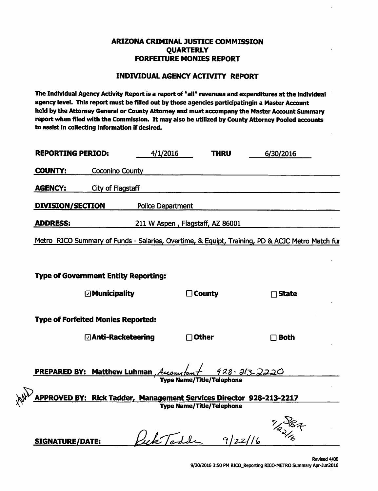## **ARIZONA CRIMINAL JUSTICE COMMISSION QUARTERLY FORFEITURE MONIES REPORT**

### **INDIVIDUAL AGENCY ACTIVITY REPORT**

The Individual Agency Activity Report is a report of "all" revenues and expenditures at the individual agency level. This report must be filled out by those agencies participatingin a Master Account held by the Attorney General or County Attorney and must accompany the Master Account Summary report when filed with the Commission. It may also be utilized by County Attorney Pooled accounts to assist in collecting information if desired.

| <b>REPORTING PERIOD:</b>                                            | 4/1/2016                         | <b>THRU</b>                      | 6/30/2016                                                                                       |
|---------------------------------------------------------------------|----------------------------------|----------------------------------|-------------------------------------------------------------------------------------------------|
| <b>COUNTY:</b><br><b>Coconino County</b>                            |                                  |                                  |                                                                                                 |
| <b>AGENCY:</b><br><b>City of Flagstaff</b>                          |                                  |                                  |                                                                                                 |
| <b>DIVISION/SECTION</b>                                             | <b>Police Department</b>         |                                  |                                                                                                 |
| <b>ADDRESS:</b>                                                     | 211 W Aspen, Flagstaff, AZ 86001 |                                  |                                                                                                 |
|                                                                     |                                  |                                  | Metro RICO Summary of Funds - Salaries, Overtime, & Equipt, Training, PD & ACJC Metro Match fur |
|                                                                     |                                  |                                  |                                                                                                 |
| <b>Type of Government Entity Reporting:</b>                         |                                  |                                  |                                                                                                 |
| $\square$ Municipality                                              |                                  | $\Box$ County                    | $\Box$ State                                                                                    |
| <b>Type of Forfeited Monies Reported:</b>                           |                                  |                                  |                                                                                                 |
| ⊡ Anti-Racketeering                                                 |                                  | $\Box$ Other                     | $\Box$ Both                                                                                     |
|                                                                     |                                  |                                  |                                                                                                 |
| <b>PREPARED BY: Matthew Luhman</b> , Accoact to                     |                                  |                                  | <u>928-213-2220</u>                                                                             |
| APPROVED BY: Rick Tadder, Management Services Director 928-213-2217 |                                  | <b>Type Name/Title/Telephone</b> |                                                                                                 |
|                                                                     |                                  | <b>Type Name/Title/Telephone</b> |                                                                                                 |
|                                                                     |                                  |                                  | 22/20                                                                                           |
| SIGNATURE/DATE:                                                     | Jek Todde                        | $9 zz  _6$                       |                                                                                                 |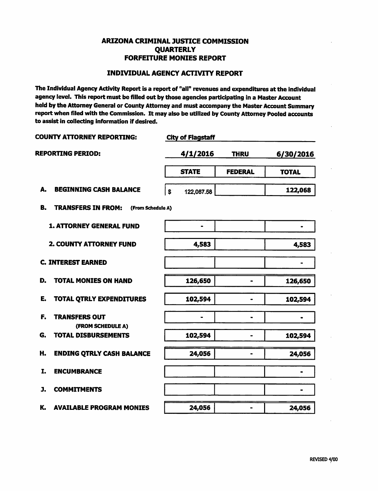## **ARIZONA CRIMINAL JUSTICE COMMISSION QUARTERLY FORFEITURE MONIES REPORT**

### **INDIVIDUAL AGENCY ACTIVITY REPORT**

The Individual Agency Activity Report is a report of "all" revenues and expenditures at the individual agency level. This report must be filled out by those agencies participating in a Master Account held by the Attorney General or County Attorney and must accompany the Master Account Summary report when filed with the Commission. It may also be utilized by County Attorney Pooled accounts to assist in collecting information if desired.

| COUNTY ATTORNEY REPORTING:                            | <b>City of Flagstaff</b>     |                |              |
|-------------------------------------------------------|------------------------------|----------------|--------------|
| <b>REPORTING PERIOD:</b>                              | 4/1/2016                     | <b>THRU</b>    | 6/30/2016    |
|                                                       | <b>STATE</b>                 | <b>FEDERAL</b> | <b>TOTAL</b> |
| A.<br><b>BEGINNING CASH BALANCE</b>                   | $\mathbf{s}$<br>122,067.58   |                | 122,068      |
| <b>TRANSFERS IN FROM:</b><br>B.<br>(From Schedule A)  |                              |                |              |
| <b>1. ATTORNEY GENERAL FUND</b>                       | $\qquad \qquad \blacksquare$ |                | $\bullet$    |
| 2. COUNTY ATTORNEY FUND                               | 4,583                        |                | 4,583        |
| <b>C. INTEREST EARNED</b>                             |                              |                |              |
| D.<br><b>TOTAL MONIES ON HAND</b>                     | 126,650                      | $\blacksquare$ | 126,650      |
| E.<br><b>TOTAL QTRLY EXPENDITURES</b>                 | 102,594                      | $\bullet$      | 102,594      |
| F.<br><b>TRANSFERS OUT</b>                            | $\qquad \qquad \blacksquare$ | $\blacksquare$ |              |
| (FROM SCHEDULE A)<br><b>TOTAL DISBURSEMENTS</b><br>G. | 102,594                      | $\blacksquare$ | 102,594      |
| H.<br><b>ENDING QTRLY CASH BALANCE</b>                | 24,056                       |                | 24,056       |
| I.<br><b>ENCUMBRANCE</b>                              |                              |                |              |
| J.<br><b>COMMITMENTS</b>                              |                              |                |              |
| K.<br><b>AVAILABLE PROGRAM MONIES</b>                 | 24,056                       | -              | 24,056       |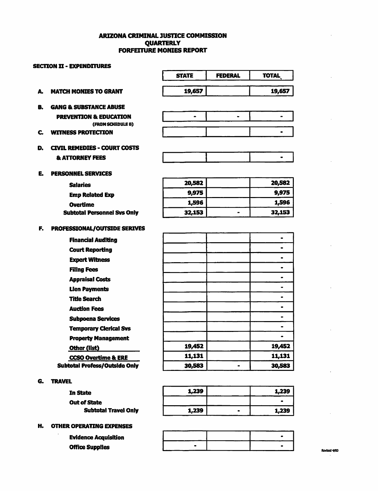#### **ARIZONA CRIMINAL JUSTICE COMMISSION QUARTERLY FORFEITURE MONIES REPORT**

|    | <b>SECITON II - EXPENDITURES</b>     |              |                |                              |
|----|--------------------------------------|--------------|----------------|------------------------------|
|    |                                      | <b>STATE</b> | <b>FEDERAL</b> | <b>TOTAL</b>                 |
| А. | <b>MATCH MONIES TO GRANT</b>         | 19,657       |                | 19,657                       |
| B. | <b>GANG &amp; SUBSTANCE ABUSE</b>    |              |                |                              |
|    | <b>PREVENTION &amp; EDUCATION</b>    | $\bullet$    | $\bullet$      |                              |
|    | (FROM SCHEDULE B)                    |              |                |                              |
| C. | <b>WITNESS PROTECTION</b>            |              |                |                              |
| D. | <b>CIVIL REMEDIES - COURT COSTS</b>  |              |                |                              |
|    | <b>&amp; ATTORNEY FEES</b>           |              |                | $\qquad \qquad \blacksquare$ |
| E. | <b>PERSONNEL SERVICES</b>            |              |                |                              |
|    | <b>Salaries</b>                      | 20,582       |                | 20,582                       |
|    | <b>Emp Related Exp</b>               | 9,975        |                | 9,975                        |
|    | <b>Overtime</b>                      | 1,596        |                | 1,596                        |
|    | <b>Subtotal Personnel Svs Only</b>   | 32,153       | $\blacksquare$ | 32,153                       |
| F. | PROFESSIONAL/OUTSIDE SERIVES         |              |                |                              |
|    | <b>Financial Auditing</b>            |              |                | $\qquad \qquad \blacksquare$ |
|    | <b>Court Reporting</b>               |              |                |                              |
|    | <b>Expert Witness</b>                |              |                | $\bullet$                    |
|    | <b>Filing Fees</b>                   |              |                | $\qquad \qquad \blacksquare$ |
|    | <b>Appraisal Costs</b>               |              |                |                              |
|    | <b>Lien Payments</b>                 |              |                | $\blacksquare$               |
|    | <b>Title Search</b>                  |              |                | ۰                            |
|    | <b>Auction Fees</b>                  |              |                | $\qquad \qquad \blacksquare$ |
|    | <b>Subpoena Services</b>             |              |                | $\bullet$                    |
|    | <b>Temporary Clerical Svs</b>        |              |                | $\bullet$                    |
|    | <b>Property Management</b>           |              |                | $\bullet$                    |
|    | Other (list)                         | 19,452       |                | 19,452                       |
|    | <b>CCSO Overtime &amp; ERE</b>       | 11,131       |                | 11,131                       |
|    | <b>Subtotal Profess/Outside Only</b> | 30,583       | $\bullet$      | 30,583                       |
| G. | <b>TRAVEL</b>                        |              |                |                              |
|    | In State                             | 1,239        |                | 1,239                        |
|    | <b>Out of State</b>                  |              |                |                              |

1,239

 $\bullet$ 

 $\blacksquare$ 

#### **H. OTHER OPERATING EXPENSES**

**Evidence Acquisition Office Supplies** 

**Subtotal Travel Only** 

1,239

 $\bullet$ 

Revised 4/00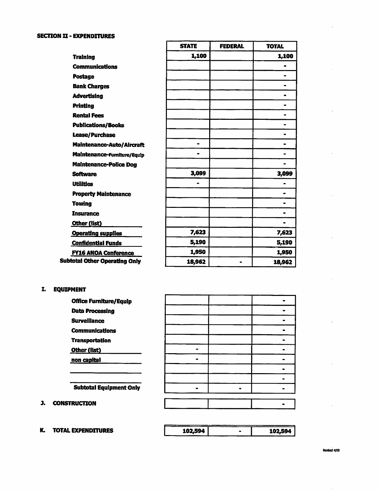#### **SECTION II - EXPENDITURES**

|                                      | <b>STATE</b> | <b>FEDERAL</b> | <b>TOTAL</b>                 |
|--------------------------------------|--------------|----------------|------------------------------|
| <b>Training</b>                      | 1,100        |                | 1,100                        |
| <b>Communications</b>                |              |                |                              |
| Postage                              |              |                | $\blacksquare$               |
| <b>Bank Charges</b>                  |              |                |                              |
| <b>Advertising</b>                   |              |                |                              |
| <b>Printing</b>                      |              |                | $\bullet$                    |
| <b>Rental Fees</b>                   |              |                |                              |
| <b>Publications/Books</b>            |              |                |                              |
| <b>Lease/Purchase</b>                |              |                |                              |
| Maintenance-Auto/Aircraft            | $\bullet$    |                |                              |
| Maintenance-Fumiture/Equip           |              |                |                              |
| <b>Maintenance-Police Dog</b>        |              |                |                              |
| <b>Software</b>                      | 3,099        |                | 3,099                        |
| <b>Utilities</b>                     | $\bullet$    |                |                              |
| <b>Property Maintenance</b>          |              |                |                              |
| Towing                               |              |                |                              |
| <b>Insurance</b>                     |              |                | $\qquad \qquad \blacksquare$ |
| Other (list)                         |              |                |                              |
| <b>Operating supplies</b>            | 7,623        |                | 7,623                        |
| <b>Confidential Funds</b>            | 5,190        |                | 5,190                        |
| <b>FY16 ANOA Conference</b>          | 1,950        |                | 1,950                        |
| <b>Subtotal Other Operating Only</b> | 18,962       | $\bullet$      | 18,962                       |

r

### I. EQUIPMENT

**Office Furniture/Equip Data Processing Surveillance Communications Transportation** Other (fist) non capital

 $\blacksquare$  $\blacksquare$  $\blacksquare$  $\bullet$  $\blacksquare$  $\blacksquare$  $\blacksquare$  $\hat{\phantom{a}}$  $\blacksquare$  $\bullet$  $\blacksquare$  $\blacksquare$  $\bullet$  $\blacksquare$  $\blacksquare$ 

**Subtotal Equipment Only** 

#### **J. CONSTRUCTION**

**K. TOTAL EXPENDITURES** 

| 102.594 l | 102,594 |
|-----------|---------|
|           |         |

Revised 4/00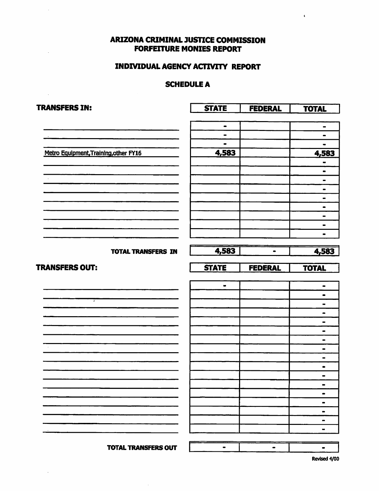# **ARIZONA CRIMINAL JUSTICE COMMISSION FORFEITURE MONIES REPORT**

 $\ddot{\phantom{a}}$ 

# **INDIVIDUAL AGENCY ACTIVITY REPORT**

### **SCHEDULE A**

| <b>TRANSFERS IN:</b>                  | <b>STATE</b>                 | <b>FEDERAL</b> | <b>TOTAL</b>                     |
|---------------------------------------|------------------------------|----------------|----------------------------------|
|                                       |                              |                |                                  |
|                                       | $\qquad \qquad \blacksquare$ |                | $\blacksquare$                   |
|                                       | $\blacksquare$               |                | $\bullet$                        |
|                                       | $\blacksquare$               |                | ٠                                |
| Metro Equipment, Training, other FY16 | 4,583                        |                | 4,583                            |
|                                       |                              |                | $\qquad \qquad \blacksquare$     |
|                                       |                              |                | $\blacksquare$                   |
|                                       |                              |                | $\blacksquare$                   |
|                                       |                              |                | $\blacksquare$                   |
|                                       |                              |                | $\qquad \qquad \blacksquare$     |
|                                       |                              |                | $\blacksquare$                   |
|                                       |                              |                | $\qquad \qquad \blacksquare$     |
|                                       |                              |                | $\blacksquare$                   |
|                                       |                              |                |                                  |
| <b>TOTAL TRANSFERS IN</b>             | 4,583                        | $\bullet$      | 4,583                            |
|                                       |                              |                |                                  |
| <b>TRANSFERS OUT:</b>                 | <b>STATE</b>                 | <b>FEDERAL</b> | <b>TOTAL</b>                     |
|                                       |                              |                |                                  |
|                                       | $\blacksquare$               |                | $\qquad \qquad \bullet$          |
| 7                                     |                              |                | $\bullet$                        |
|                                       |                              |                | $\blacksquare$                   |
|                                       |                              |                | $\blacksquare$                   |
|                                       |                              |                | $\qquad \qquad \blacksquare$     |
|                                       |                              |                | $\blacksquare$                   |
|                                       |                              |                | $\blacksquare$                   |
|                                       |                              |                | $\qquad \qquad \blacksquare$     |
|                                       |                              |                | $\qquad \qquad \blacksquare$     |
|                                       |                              |                | $\bullet$                        |
|                                       |                              |                | $\blacksquare$                   |
|                                       |                              |                | $\blacksquare$                   |
|                                       |                              |                | $\qquad \qquad \blacksquare$     |
|                                       |                              |                | $\qquad \qquad \blacksquare$     |
|                                       |                              |                | $\blacksquare$<br>$\blacksquare$ |
|                                       |                              |                | $\blacksquare$                   |
|                                       |                              |                |                                  |
| <b>TOTAL TRANSFERS OUT</b>            |                              | -              | $\bullet$                        |

 $\hat{\boldsymbol{\tau}}$ 

Revised 4/00